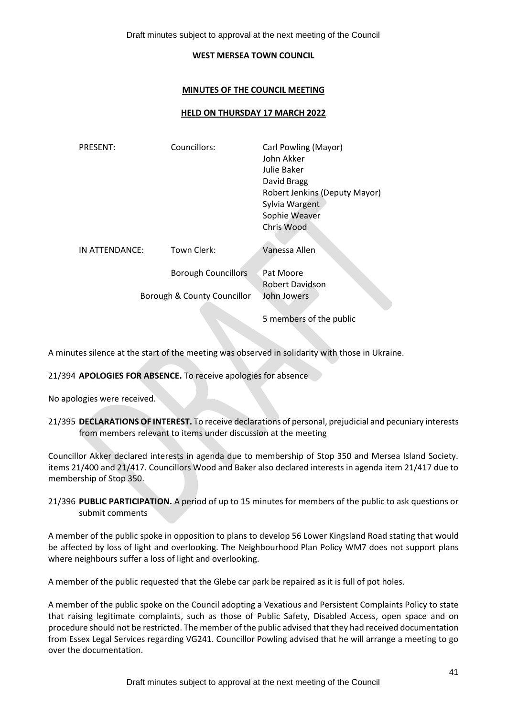Draft minutes subject to approval at the next meeting of the Council

#### **WEST MERSEA TOWN COUNCIL**

### **MINUTES OF THE COUNCIL MEETING**

### **HELD ON THURSDAY 17 MARCH 2022**

| <b>PRESENT:</b>             | Councillors:               | Carl Powling (Mayor)<br>John Akker<br>Julie Baker<br>David Bragg<br>Robert Jenkins (Deputy Mayor)<br>Sylvia Wargent<br>Sophie Weaver<br>Chris Wood |
|-----------------------------|----------------------------|----------------------------------------------------------------------------------------------------------------------------------------------------|
| IN ATTENDANCE:              | Town Clerk:                | Vanessa Allen                                                                                                                                      |
|                             | <b>Borough Councillors</b> | Pat Moore<br>Robert Davidson                                                                                                                       |
| Borough & County Councillor |                            | John Jowers                                                                                                                                        |

5 members of the public

A minutes silence at the start of the meeting was observed in solidarity with those in Ukraine.

## 21/394 **APOLOGIES FOR ABSENCE.** To receive apologies for absence

No apologies were received.

21/395 **DECLARATIONS OF INTEREST.** To receive declarations of personal, prejudicial and pecuniary interests from members relevant to items under discussion at the meeting

Councillor Akker declared interests in agenda due to membership of Stop 350 and Mersea Island Society. items 21/400 and 21/417. Councillors Wood and Baker also declared interests in agenda item 21/417 due to membership of Stop 350.

21/396 **PUBLIC PARTICIPATION.** A period of up to 15 minutes for members of the public to ask questions or submit comments

A member of the public spoke in opposition to plans to develop 56 Lower Kingsland Road stating that would be affected by loss of light and overlooking. The Neighbourhood Plan Policy WM7 does not support plans where neighbours suffer a loss of light and overlooking.

A member of the public requested that the Glebe car park be repaired as it is full of pot holes.

A member of the public spoke on the Council adopting a Vexatious and Persistent Complaints Policy to state that raising legitimate complaints, such as those of Public Safety, Disabled Access, open space and on procedure should not be restricted. The member of the public advised that they had received documentation from Essex Legal Services regarding VG241. Councillor Powling advised that he will arrange a meeting to go over the documentation.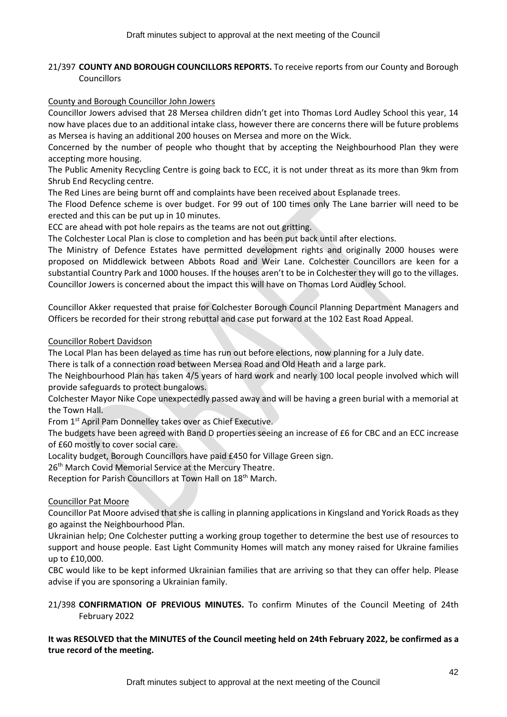# 21/397 **COUNTY AND BOROUGH COUNCILLORS REPORTS.** To receive reports from our County and Borough Councillors

County and Borough Councillor John Jowers

Councillor Jowers advised that 28 Mersea children didn't get into Thomas Lord Audley School this year, 14 now have places due to an additional intake class, however there are concerns there will be future problems as Mersea is having an additional 200 houses on Mersea and more on the Wick.

Concerned by the number of people who thought that by accepting the Neighbourhood Plan they were accepting more housing.

The Public Amenity Recycling Centre is going back to ECC, it is not under threat as its more than 9km from Shrub End Recycling centre.

The Red Lines are being burnt off and complaints have been received about Esplanade trees.

The Flood Defence scheme is over budget. For 99 out of 100 times only The Lane barrier will need to be erected and this can be put up in 10 minutes.

ECC are ahead with pot hole repairs as the teams are not out gritting.

The Colchester Local Plan is close to completion and has been put back until after elections.

The Ministry of Defence Estates have permitted development rights and originally 2000 houses were proposed on Middlewick between Abbots Road and Weir Lane. Colchester Councillors are keen for a substantial Country Park and 1000 houses. If the houses aren't to be in Colchester they will go to the villages. Councillor Jowers is concerned about the impact this will have on Thomas Lord Audley School.

Councillor Akker requested that praise for Colchester Borough Council Planning Department Managers and Officers be recorded for their strong rebuttal and case put forward at the 102 East Road Appeal.

# Councillor Robert Davidson

The Local Plan has been delayed as time has run out before elections, now planning for a July date.

There is talk of a connection road between Mersea Road and Old Heath and a large park.

The Neighbourhood Plan has taken 4/5 years of hard work and nearly 100 local people involved which will provide safeguards to protect bungalows.

Colchester Mayor Nike Cope unexpectedly passed away and will be having a green burial with a memorial at the Town Hall.

From 1<sup>st</sup> April Pam Donnelley takes over as Chief Executive.

The budgets have been agreed with Band D properties seeing an increase of £6 for CBC and an ECC increase of £60 mostly to cover social care.

Locality budget, Borough Councillors have paid £450 for Village Green sign.

26<sup>th</sup> March Covid Memorial Service at the Mercury Theatre.

Reception for Parish Councillors at Town Hall on 18<sup>th</sup> March.

## Councillor Pat Moore

Councillor Pat Moore advised that she is calling in planning applications in Kingsland and Yorick Roads as they go against the Neighbourhood Plan.

Ukrainian help; One Colchester putting a working group together to determine the best use of resources to support and house people. East Light Community Homes will match any money raised for Ukraine families up to £10,000.

CBC would like to be kept informed Ukrainian families that are arriving so that they can offer help. Please advise if you are sponsoring a Ukrainian family.

# 21/398 **CONFIRMATION OF PREVIOUS MINUTES.** To confirm Minutes of the Council Meeting of 24th February 2022

**It was RESOLVED that the MINUTES of the Council meeting held on 24th February 2022, be confirmed as a true record of the meeting.**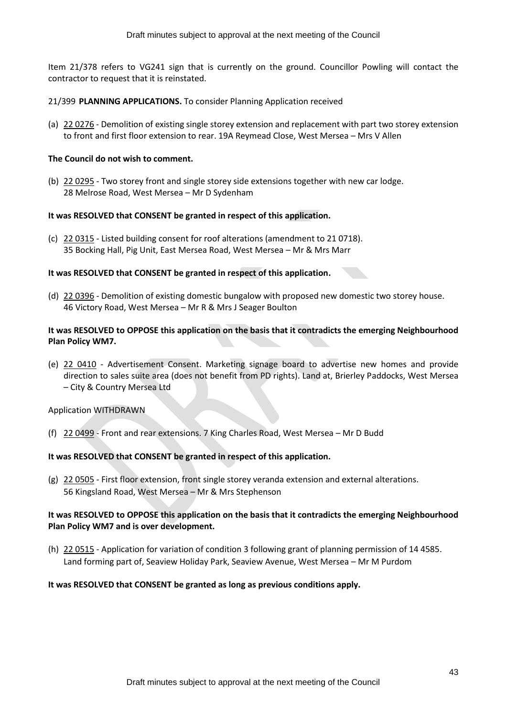Item 21/378 refers to VG241 sign that is currently on the ground. Councillor Powling will contact the contractor to request that it is reinstated.

21/399 **PLANNING APPLICATIONS.** To consider Planning Application received

(a) 22 0276 - Demolition of existing single storey extension and replacement with part two storey extension to front and first floor extension to rear. 19A Reymead Close, West Mersea – Mrs V Allen

## **The Council do not wish to comment.**

(b) 22 0295 - Two storey front and single storey side extensions together with new car lodge. 28 Melrose Road, West Mersea – Mr D Sydenham

# **It was RESOLVED that CONSENT be granted in respect of this application.**

(c) 22 0315 - Listed building consent for roof alterations (amendment to 21 0718). 35 Bocking Hall, Pig Unit, East Mersea Road, West Mersea – Mr & Mrs Marr

## **It was RESOLVED that CONSENT be granted in respect of this application.**

(d) 22 0396 - Demolition of existing domestic bungalow with proposed new domestic two storey house. 46 Victory Road, West Mersea – Mr R & Mrs J Seager Boulton

## **It was RESOLVED to OPPOSE this application on the basis that it contradicts the emerging Neighbourhood Plan Policy WM7.**

(e) 22 0410 - Advertisement Consent. Marketing signage board to advertise new homes and provide direction to sales suite area (does not benefit from PD rights). Land at, Brierley Paddocks, West Mersea – City & Country Mersea Ltd

## Application WITHDRAWN

(f) 22 0499 - Front and rear extensions. 7 King Charles Road, West Mersea – Mr D Budd

## **It was RESOLVED that CONSENT be granted in respect of this application.**

(g) 22 0505 - First floor extension, front single storey veranda extension and external alterations. 56 Kingsland Road, West Mersea – Mr & Mrs Stephenson

# **It was RESOLVED to OPPOSE this application on the basis that it contradicts the emerging Neighbourhood Plan Policy WM7 and is over development.**

(h) 22 0515 - Application for variation of condition 3 following grant of planning permission of 14 4585. Land forming part of, Seaview Holiday Park, Seaview Avenue, West Mersea – Mr M Purdom

## **It was RESOLVED that CONSENT be granted as long as previous conditions apply.**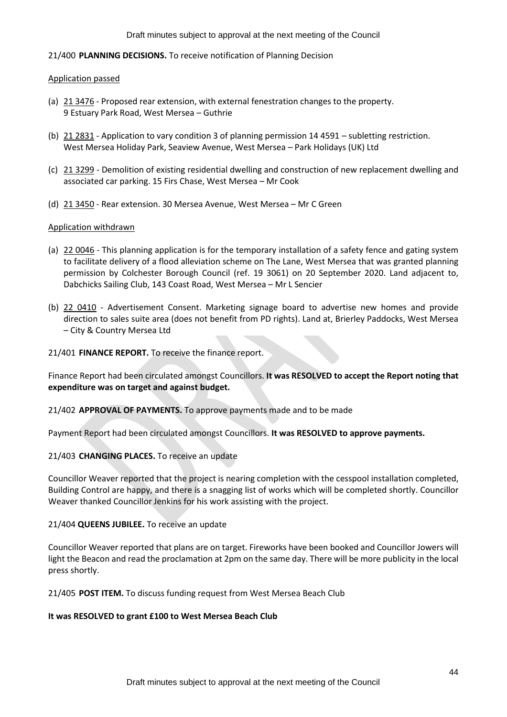#### Draft minutes subject to approval at the next meeting of the Council

### 21/400 **PLANNING DECISIONS.** To receive notification of Planning Decision

#### Application passed

- (a) 21 3476 Proposed rear extension, with external fenestration changes to the property. 9 Estuary Park Road, West Mersea – Guthrie
- (b) 21 2831 Application to vary condition 3 of planning permission 14 4591 subletting restriction. West Mersea Holiday Park, Seaview Avenue, West Mersea – Park Holidays (UK) Ltd
- (c) 21 3299 Demolition of existing residential dwelling and construction of new replacement dwelling and associated car parking. 15 Firs Chase, West Mersea – Mr Cook
- (d) 21 3450 Rear extension. 30 Mersea Avenue, West Mersea Mr C Green

### Application withdrawn

- (a) 22 0046 This planning application is for the temporary installation of a safety fence and gating system to facilitate delivery of a flood alleviation scheme on The Lane, West Mersea that was granted planning permission by Colchester Borough Council (ref. 19 3061) on 20 September 2020. Land adjacent to, Dabchicks Sailing Club, 143 Coast Road, West Mersea – Mr L Sencier
- (b) 22 0410 Advertisement Consent. Marketing signage board to advertise new homes and provide direction to sales suite area (does not benefit from PD rights). Land at, Brierley Paddocks, West Mersea – City & Country Mersea Ltd

### 21/401 **FINANCE REPORT.** To receive the finance report.

Finance Report had been circulated amongst Councillors. **It was RESOLVED to accept the Report noting that expenditure was on target and against budget.** 

#### 21/402 **APPROVAL OF PAYMENTS.** To approve payments made and to be made

Payment Report had been circulated amongst Councillors. **It was RESOLVED to approve payments.** 

## 21/403 **CHANGING PLACES.** To receive an update

Councillor Weaver reported that the project is nearing completion with the cesspool installation completed, Building Control are happy, and there is a snagging list of works which will be completed shortly. Councillor Weaver thanked Councillor Jenkins for his work assisting with the project.

#### 21/404 **QUEENS JUBILEE.** To receive an update

Councillor Weaver reported that plans are on target. Fireworks have been booked and Councillor Jowers will light the Beacon and read the proclamation at 2pm on the same day. There will be more publicity in the local press shortly.

21/405 **POST ITEM.** To discuss funding request from West Mersea Beach Club

#### **It was RESOLVED to grant £100 to West Mersea Beach Club**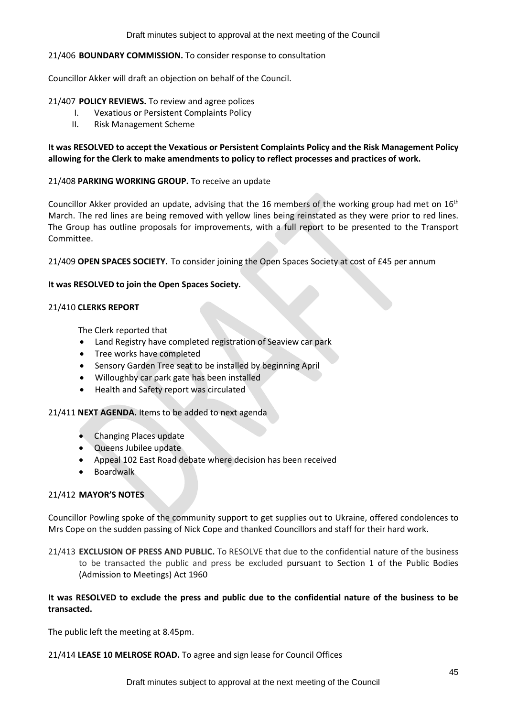# 21/406 **BOUNDARY COMMISSION.** To consider response to consultation

Councillor Akker will draft an objection on behalf of the Council.

# 21/407 **POLICY REVIEWS.** To review and agree polices

- I. Vexatious or Persistent Complaints Policy
- II. Risk Management Scheme

# **It was RESOLVED to accept the Vexatious or Persistent Complaints Policy and the Risk Management Policy allowing for the Clerk to make amendments to policy to reflect processes and practices of work.**

# 21/408 **PARKING WORKING GROUP.** To receive an update

Councillor Akker provided an update, advising that the 16 members of the working group had met on  $16<sup>th</sup>$ March. The red lines are being removed with yellow lines being reinstated as they were prior to red lines. The Group has outline proposals for improvements, with a full report to be presented to the Transport Committee.

21/409 **OPEN SPACES SOCIETY.** To consider joining the Open Spaces Society at cost of £45 per annum

# **It was RESOLVED to join the Open Spaces Society.**

## 21/410 **CLERKS REPORT**

The Clerk reported that

- Land Registry have completed registration of Seaview car park
- Tree works have completed
- Sensory Garden Tree seat to be installed by beginning April
- Willoughby car park gate has been installed
- Health and Safety report was circulated

## 21/411 **NEXT AGENDA.** Items to be added to next agenda

- Changing Places update
- Queens Jubilee update
- Appeal 102 East Road debate where decision has been received
- Boardwalk

# 21/412 **MAYOR'S NOTES**

Councillor Powling spoke of the community support to get supplies out to Ukraine, offered condolences to Mrs Cope on the sudden passing of Nick Cope and thanked Councillors and staff for their hard work.

21/413 **EXCLUSION OF PRESS AND PUBLIC.** To RESOLVE that due to the confidential nature of the business to be transacted the public and press be excluded pursuant to Section 1 of the Public Bodies (Admission to Meetings) Act 1960

# **It was RESOLVED to exclude the press and public due to the confidential nature of the business to be transacted.**

The public left the meeting at 8.45pm.

21/414 **LEASE 10 MELROSE ROAD.** To agree and sign lease for Council Offices